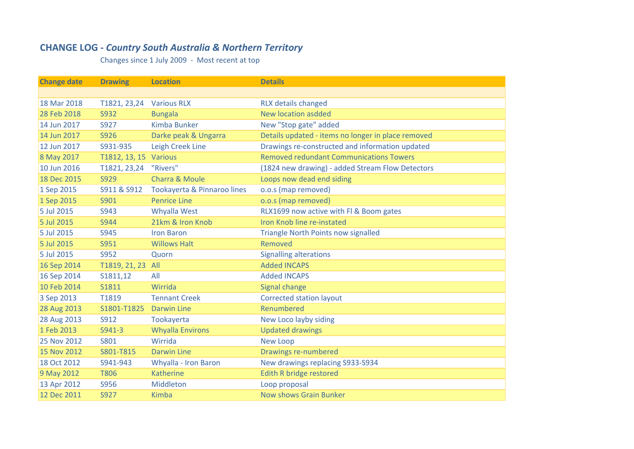## **CHANGE LOG ‐** *Country South Australia & Northern Territory*

Changes since 1 July 2009 ‐ Most recent at top

| <b>Change date</b> | <b>Drawing</b>        | <b>Location</b>             | <b>Details</b>                                     |
|--------------------|-----------------------|-----------------------------|----------------------------------------------------|
|                    |                       |                             |                                                    |
| 18 Mar 2018        | T1821, 23,24          | <b>Various RLX</b>          | <b>RLX details changed</b>                         |
| 28 Feb 2018        | S932                  | <b>Bungala</b>              | <b>New location asdded</b>                         |
| 14 Jun 2017        | S927                  | <b>Kimba Bunker</b>         | New "Stop gate" added                              |
| 14 Jun 2017        | S926                  | Darke peak & Ungarra        | Details updated - items no longer in place removed |
| 12 Jun 2017        | S931-935              | <b>Leigh Creek Line</b>     | Drawings re-constructed and information updated    |
| 8 May 2017         | T1812, 13, 15 Various |                             | <b>Removed redundant Communications Towers</b>     |
| 10 Jun 2016        | T1821, 23,24          | "Rivers"                    | (1824 new drawing) - added Stream Flow Detectors   |
| 18 Dec 2015        | S929                  | <b>Charra &amp; Moule</b>   | Loops now dead end siding                          |
| 1 Sep 2015         | S911 & S912           | Tookayerta & Pinnaroo lines | o.o.s (map removed)                                |
| 1 Sep 2015         | S901                  | <b>Penrice Line</b>         | o.o.s (map removed)                                |
| 5 Jul 2015         | S943                  | Whyalla West                | RLX1699 now active with FI & Boom gates            |
| 5 Jul 2015         | S944                  | 21km & Iron Knob            | Iron Knob line re-instated                         |
| 5 Jul 2015         | S945                  | <b>Iron Baron</b>           | <b>Triangle North Points now signalled</b>         |
| 5 Jul 2015         | S951                  | <b>Willows Halt</b>         | Removed                                            |
| 5 Jul 2015         | S952                  | Quorn                       | <b>Signalling alterations</b>                      |
| 16 Sep 2014        | T1819, 21, 23         | All                         | <b>Added INCAPS</b>                                |
| 16 Sep 2014        | S1811,12              | All                         | <b>Added INCAPS</b>                                |
| 10 Feb 2014        | S1811                 | Wirrida                     | <b>Signal change</b>                               |
| 3 Sep 2013         | T1819                 | <b>Tennant Creek</b>        | <b>Corrected station layout</b>                    |
| 28 Aug 2013        | S1801-T1825           | <b>Darwin Line</b>          | Renumbered                                         |
| 28 Aug 2013        | S912                  | Tookayerta                  | New Loco layby siding                              |
| 1 Feb 2013         | S941-3                | <b>Whyalla Environs</b>     | <b>Updated drawings</b>                            |
| <b>25 Nov 2012</b> | S801                  | Wirrida                     | <b>New Loop</b>                                    |
| 15 Nov 2012        | S801-T815             | <b>Darwin Line</b>          | <b>Drawings re-numbered</b>                        |
| 18 Oct 2012        | S941-943              | Whyalla - Iron Baron        | New drawings replacing S933-S934                   |
| 9 May 2012         | <b>T806</b>           | <b>Katherine</b>            | <b>Edith R bridge restored</b>                     |
| 13 Apr 2012        | S956                  | Middleton                   | Loop proposal                                      |
| 12 Dec 2011        | S927                  | <b>Kimba</b>                | <b>Now shows Grain Bunker</b>                      |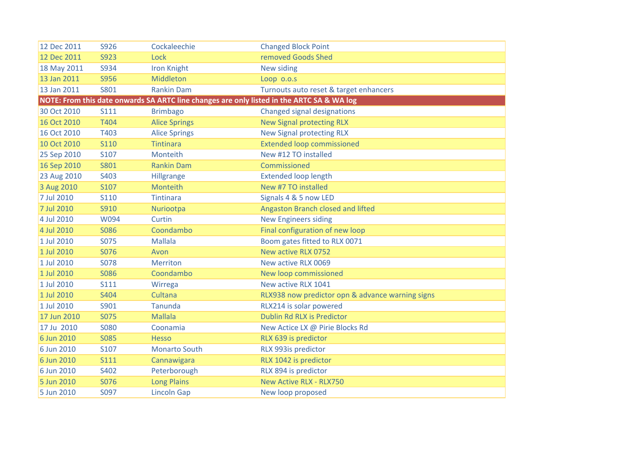| 12 Dec 2011 | S926        | Cockaleechie         | <b>Changed Block Point</b>                                                                |
|-------------|-------------|----------------------|-------------------------------------------------------------------------------------------|
| 12 Dec 2011 | S923        | Lock                 | removed Goods Shed                                                                        |
| 18 May 2011 | S934        | <b>Iron Knight</b>   | New siding                                                                                |
| 13 Jan 2011 | <b>S956</b> | Middleton            | Loop 0.0.5                                                                                |
| 13 Jan 2011 | S801        | <b>Rankin Dam</b>    | Turnouts auto reset & target enhancers                                                    |
|             |             |                      | NOTE: From this date onwards SA ARTC line changes are only listed in the ARTC SA & WA log |
| 30 Oct 2010 | <b>S111</b> | <b>Brimbago</b>      | <b>Changed signal designations</b>                                                        |
| 16 Oct 2010 | T404        | <b>Alice Springs</b> | <b>New Signal protecting RLX</b>                                                          |
| 16 Oct 2010 | T403        | <b>Alice Springs</b> | <b>New Signal protecting RLX</b>                                                          |
| 10 Oct 2010 | <b>S110</b> | <b>Tintinara</b>     | <b>Extended loop commissioned</b>                                                         |
| 25 Sep 2010 | S107        | Monteith             | New #12 TO installed                                                                      |
| 16 Sep 2010 | S801        | <b>Rankin Dam</b>    | Commissioned                                                                              |
| 23 Aug 2010 | S403        | Hillgrange           | <b>Extended loop length</b>                                                               |
| 3 Aug 2010  | S107        | Monteith             | New #7 TO installed                                                                       |
| 7 Jul 2010  | <b>S110</b> | <b>Tintinara</b>     | Signals 4 & 5 now LED                                                                     |
| 7 Jul 2010  | S910        | Nuriootpa            | Angaston Branch closed and lifted                                                         |
| 4 Jul 2010  | W094        | Curtin               | <b>New Engineers siding</b>                                                               |
| 4 Jul 2010  | <b>S086</b> | Coondambo            | Final configuration of new loop                                                           |
| 1 Jul 2010  | <b>S075</b> | <b>Mallala</b>       | Boom gates fitted to RLX 0071                                                             |
| 1 Jul 2010  | S076        | Avon                 | New active RLX 0752                                                                       |
| 1 Jul 2010  | <b>S078</b> | <b>Merriton</b>      | New active RLX 0069                                                                       |
| 1 Jul 2010  | <b>S086</b> | Coondambo            | New loop commissioned                                                                     |
| 1 Jul 2010  | <b>S111</b> | Wirrega              | New active RLX 1041                                                                       |
| 1 Jul 2010  | S404        | Cultana              | RLX938 now predictor opn & advance warning signs                                          |
| 1 Jul 2010  | S901        | <b>Tanunda</b>       | RLX214 is solar powered                                                                   |
| 17 Jun 2010 | <b>S075</b> | <b>Mallala</b>       | Dublin Rd RLX is Predictor                                                                |
| 17 Ju 2010  | <b>S080</b> | Coonamia             | New Actice LX @ Pirie Blocks Rd                                                           |
| 6 Jun 2010  | <b>S085</b> | <b>Hesso</b>         | RLX 639 is predictor                                                                      |
| 6 Jun 2010  | S107        | <b>Monarto South</b> | RLX 993is predictor                                                                       |
| 6 Jun 2010  | <b>S111</b> | Cannawigara          | RLX 1042 is predictor                                                                     |
| 6 Jun 2010  | S402        | Peterborough         | RLX 894 is predictor                                                                      |
| 5 Jun 2010  | <b>S076</b> | <b>Long Plains</b>   | <b>New Active RLX - RLX750</b>                                                            |
| 5 Jun 2010  | S097        | <b>Lincoln Gap</b>   | New loop proposed                                                                         |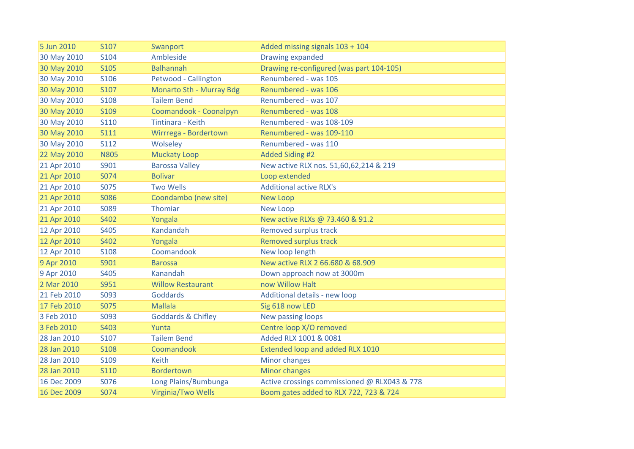| 5 Jun 2010  | S107        | Swanport                      | Added missing signals 103 + 104              |
|-------------|-------------|-------------------------------|----------------------------------------------|
| 30 May 2010 | S104        | Ambleside                     | Drawing expanded                             |
| 30 May 2010 | S105        | <b>Balhannah</b>              | Drawing re-configured (was part 104-105)     |
| 30 May 2010 | S106        | Petwood - Callington          | Renumbered - was 105                         |
| 30 May 2010 | S107        | Monarto Sth - Murray Bdg      | Renumbered - was 106                         |
| 30 May 2010 | <b>S108</b> | <b>Tailem Bend</b>            | Renumbered - was 107                         |
| 30 May 2010 | S109        | Coomandook - Coonalpyn        | Renumbered - was 108                         |
| 30 May 2010 | <b>S110</b> | Tintinara - Keith             | Renumbered - was 108-109                     |
| 30 May 2010 | <b>S111</b> | Wirrrega - Bordertown         | Renumbered - was 109-110                     |
| 30 May 2010 | <b>S112</b> | Wolseley                      | Renumbered - was 110                         |
| 22 May 2010 | <b>N805</b> | <b>Muckaty Loop</b>           | <b>Added Siding #2</b>                       |
| 21 Apr 2010 | S901        | <b>Barossa Valley</b>         | New active RLX nos. 51,60,62,214 & 219       |
| 21 Apr 2010 | S074        | <b>Bolivar</b>                | Loop extended                                |
| 21 Apr 2010 | S075        | <b>Two Wells</b>              | <b>Additional active RLX's</b>               |
| 21 Apr 2010 | S086        | Coondambo (new site)          | <b>New Loop</b>                              |
| 21 Apr 2010 | S089        | Thomiar                       | <b>New Loop</b>                              |
| 21 Apr 2010 | S402        | Yongala                       | New active RLXs @ 73.460 & 91.2              |
| 12 Apr 2010 | S405        | Kandandah                     | Removed surplus track                        |
| 12 Apr 2010 | S402        | Yongala                       | <b>Removed surplus track</b>                 |
| 12 Apr 2010 | <b>S108</b> | Coomandook                    | New loop length                              |
| 9 Apr 2010  | S901        | <b>Barossa</b>                | New active RLX 2 66.680 & 68.909             |
| 9 Apr 2010  | S405        | Kanandah                      | Down approach now at 3000m                   |
| 2 Mar 2010  | S951        | <b>Willow Restaurant</b>      | now Willow Halt                              |
| 21 Feb 2010 | S093        | Goddards                      | Additional details - new loop                |
| 17 Feb 2010 | S075        | <b>Mallala</b>                | Sig 618 now LED                              |
| 3 Feb 2010  | S093        | <b>Goddards &amp; Chifley</b> | New passing loops                            |
| 3 Feb 2010  | S403        | Yunta                         | Centre loop X/O removed                      |
| 28 Jan 2010 | S107        | <b>Tailem Bend</b>            | Added RLX 1001 & 0081                        |
| 28 Jan 2010 | <b>S108</b> | Coomandook                    | Extended loop and added RLX 1010             |
| 28 Jan 2010 | S109        | <b>Keith</b>                  | Minor changes                                |
| 28 Jan 2010 | S110        | <b>Bordertown</b>             | Minor changes                                |
| 16 Dec 2009 | S076        | Long Plains/Bumbunga          | Active crossings commissioned @ RLX043 & 778 |
| 16 Dec 2009 | S074        | Virginia/Two Wells            | Boom gates added to RLX 722, 723 & 724       |